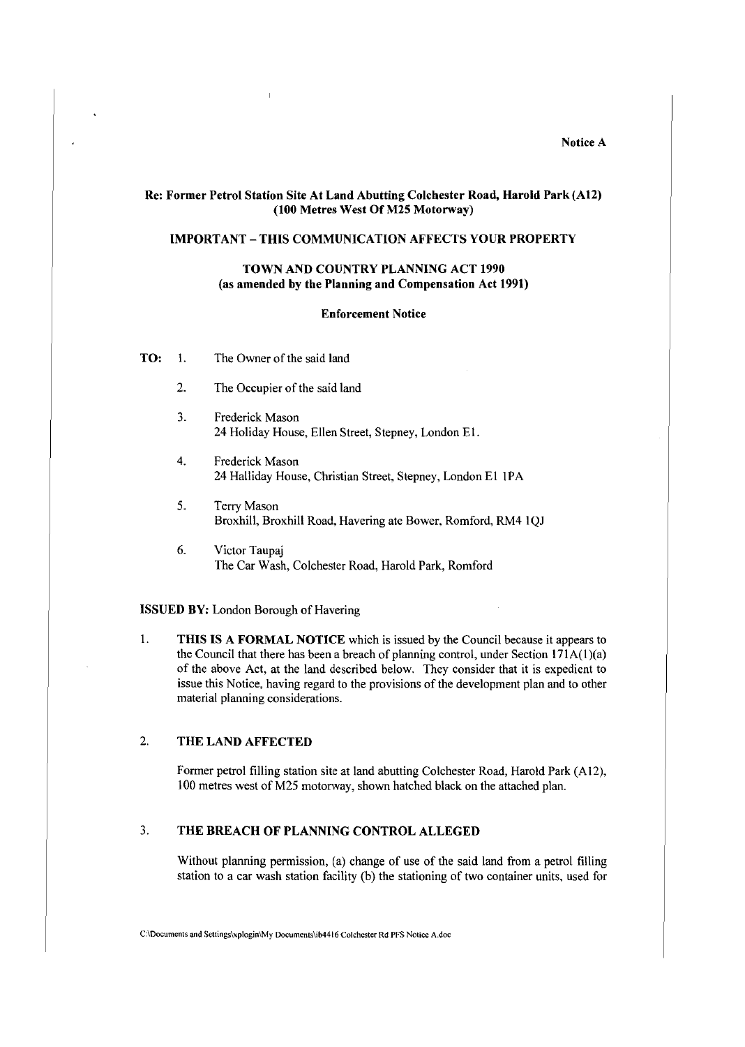#### Notice A

#### Re: Former Petrol Station Site At Land Abutting Colchester Road, Harold Park (A12) (100 Metres West Of M25 Motorway)

### IMPORTANT - THIS COMMUNICATION AFFECTS YOUR PROPERTY

### TOWN AND COUNTRY PLANNING ACT 1990 (as amended by the Planning and Compensation Act 1991)

#### Enforcement Notice

- TO: I. The Owner of the said land
	- 2. The Occupier of the said land
	- 3. Frederick Mason 24 Holiday House, Ellen Street, Stepney, London El.
	- 4. Frederick Mason 24 Halliday House, Christian Street, Stepney, London E1 1PA
	- 5. Terry Mason Broxhill, Broxhill Road, Havering ate Bower, Romford, RM4 IQJ
	- 6. Victor Taupaj The Car Wash, Colchester Road, Harold Park, Romford

ISSUED BY: London Borough of Havering

1. THIS IS A FORMAL NOTICE which is issued by the Council because it appears to the Council that there has been a breach of planning control, under Section  $171A(1)(a)$ of the above Act, at the land described below. They consider that it is expedient to issue this Notice, having regard to the provisions of the development plan and to other material planning considerations.

### 2. THE LAND AFFECTED

Former petrol filling station site at land abutting Colchester Road, Harold Park (Al2), l 00 metres west of M25 motorway, shown hatched black on the attached plan.

### 3. THE BREACH OF PLANNING CONTROL ALLEGED

Without planning permission, (a) change of use of the said land from a petrol filling station to a car wash station facility (b) the stationing of two container units, used for

C:\Documcnts **and** Settings\xplogin\My Documents\ib4416 Colchester Rd PFS Notice A.doc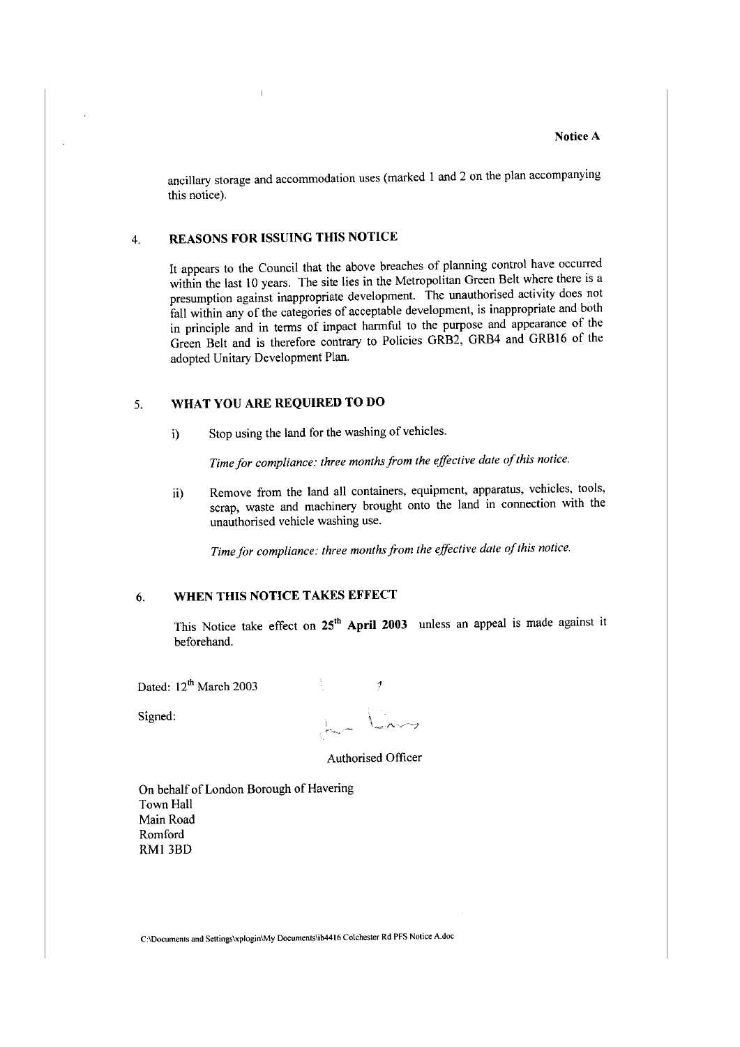ancillary storage and accommodation uses (marked 1 and 2 on the plan accompanying this notice).

### 4. **REASONS FOR ISSUING THIS NOTICE**

It appears to the Council that the above breaches of planning control have occurred within the last 10 years. The site lies in the Metropolitan Green Belt where there is a presumption against inappropriate development. The unauthorised activity does not fall within any of the categories of acceptable development, is inappropriate and both in principle and in terms of impact harmful to the purpose and appearance of the Green Belt and is therefore contrary to Policies GRB2, GRB4 and GRB16 of the adopted Unitary Development Plan.

# 5. **WHAT YOU ARE REQUIRED TO DO**

i) Stop using the land for the washing of vehicles.

Time for compliance: three months from the effective date of this notice.

ii) Remove from the land all containers, equipment, apparatus, vehicles, tools, scrap, waste and machinery brought onto the land in connection with the unauthorised vehicle washing use.

Time for compliance: three months from the effective date of this notice.

### 6. **WHEN THIS NOTICE TAKES EFFECT**

This Notice take effect on **25<sup>1</sup> <sup>h</sup>April 2003** unless an appeal is made against it beforehand.

Dated: 12<sup>th</sup> March 2003

Signed:

 $\mathcal I$ 

Authorised Officer

On behalf of London Borough of Havering Town Hall Main Road Rom ford RMI 3BD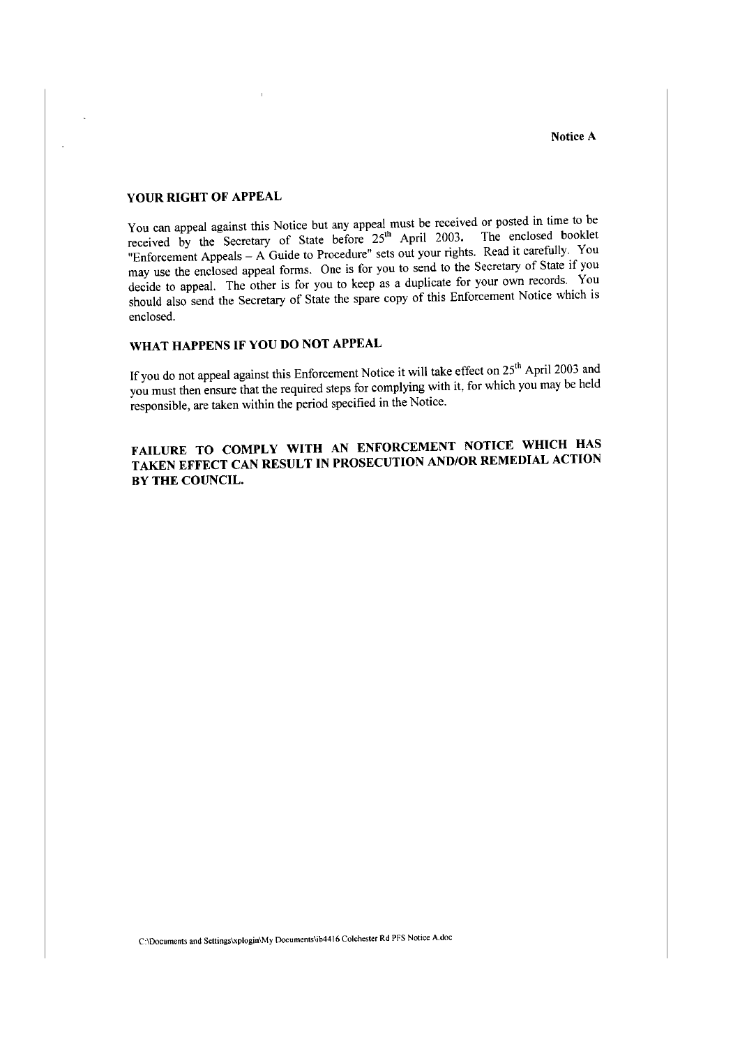#### **YOUR RIGHT OF APPEAL**

You can appeal against this Notice but any appeal must be received or posted in time to be received by the Secretary of State before  $25<sup>th</sup>$  April 2003. The enclosed booklet "Enforcement Appeals – A Guide to Procedure" sets out your rights. Read it carefully. You may use the enclosed appeal forms. One is for you to send to the Secretary of State if you decide to appeal. The other is for you to keep as a duplicate for your own records. You should also send the Secretary of State the spare copy of this Enforcement Notice which is enclosed.

# **WHAT HAPPENS IF YOU DO NOT APPEAL**

If you do not appeal against this Enforcement Notice it will take effect on  $25<sup>th</sup>$  April 2003 and you must then ensure that the required steps for complying with it, for which you may be held responsible, are taken within the period specified in the Notice.

# **FAILURE TO COMPLY WITH AN ENFORCEMENT NOTICE WHICH HAS TAKEN EFFECT CAN RESULT IN PROSECUTION AND/OR REMEDIAL ACTION BY THE COUNCIL.**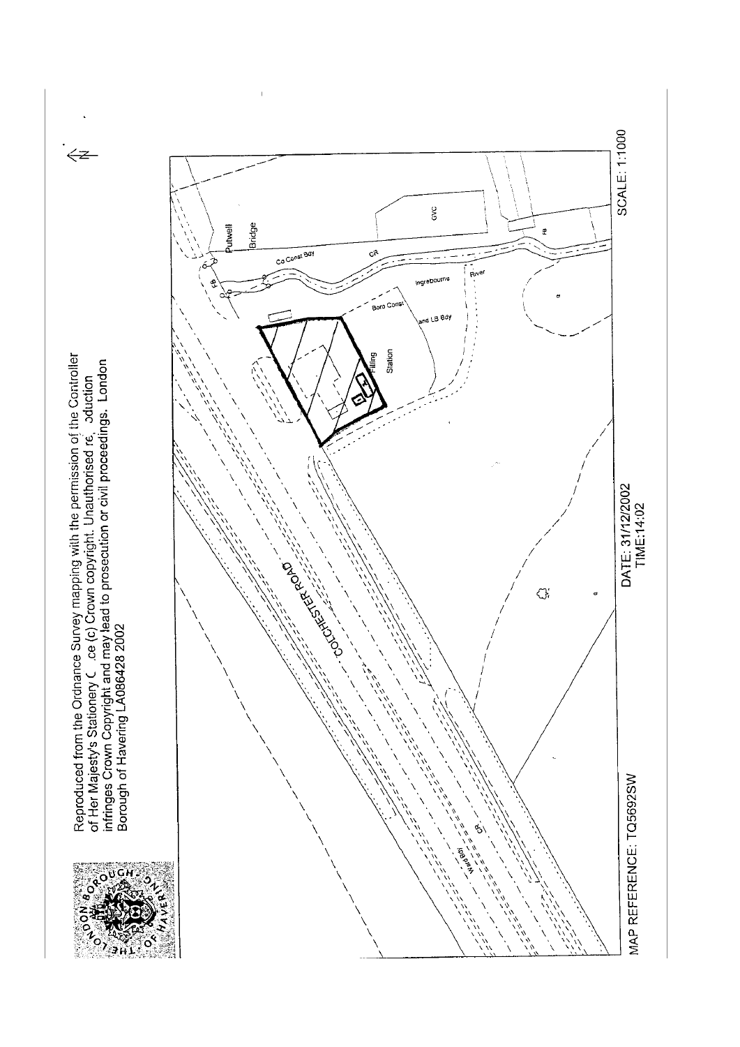

Reproduced from the Ordnance Survey mapping with the permission of the Controller<br>of Her Majesty's Stationery C .ce (c) Crown copyright. Unauthorised re. aduction<br>infringes Crown Copyright and may lead to prosecution or ci

 $\leftarrow$ 

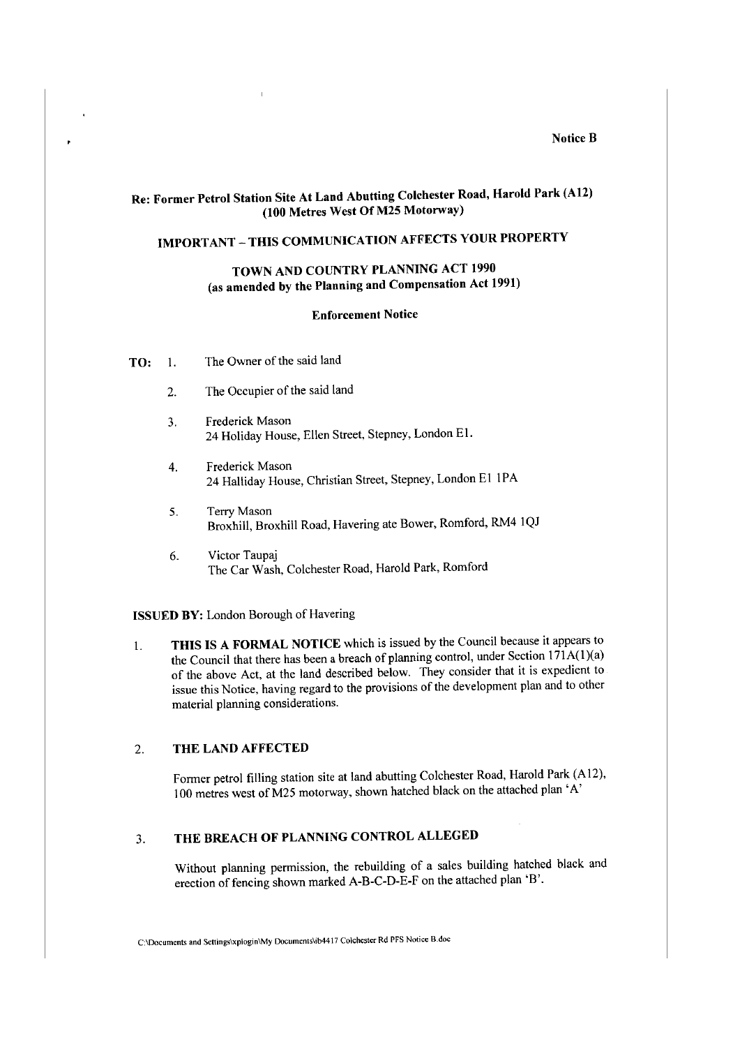#### **Notice B**

# **Re: Former Petrol Station Site At Land Abutting Colchester Road, Harold Park (A12) (100 Metres West OfM25 Motorway)**

# **IMPORTANT-THIS COMMUNICATION AFFECTS YOUR PROPERTY**

# **TOWN AND COUNTRY PLANNING ACT 1990** (as **amended by the Planning and Compensation Act 1991)**

#### **Enforcement Notice**

**TO:** I. The Owner of the said land

 $\ddot{\phantom{0}}$ 

- 2. The Occupier of the said land
- 3. Frederick Mason 24 Holiday House, Ellen Street, Stepney, London El.
- 4. Frederick Mason 24 Halliday House, Christian Street, Stepney, London EI I PA
- 5. Terry Mason Broxhill, Broxhill Road, Havering ate Bower, Romford, RM4 IQJ
- 6. Victor Taupaj The Car Wash, Colchester Road, Harold Park, Romford

**ISSUED BY:** London Borough of Havering

I. **THIS IS A FORMAL NOTICE** which is issued by the Council because it appears to the Council that there has been a breach of planning control, under Section 171A(1)(a) of the above Act, at the land described below. They consider that it is expedient to issue this Notice, having regard to the provisions of the development plan and to other material planning considerations.

### 2. **THE LAND AFFECTED**

Former petrol filling station site at land abutting Colchester Road, Harold Park (A12), I 00 metres west of M25 motorway, shown hatched black on the attached plan 'A'

### 3. **THE BREACH OF PLANNING CONTROL ALLEGED**

Without planning permission, the rebuilding of a sales building hatched black and erection of fencing shown marked A-B-C-D-E-F on the attached plan 'B'.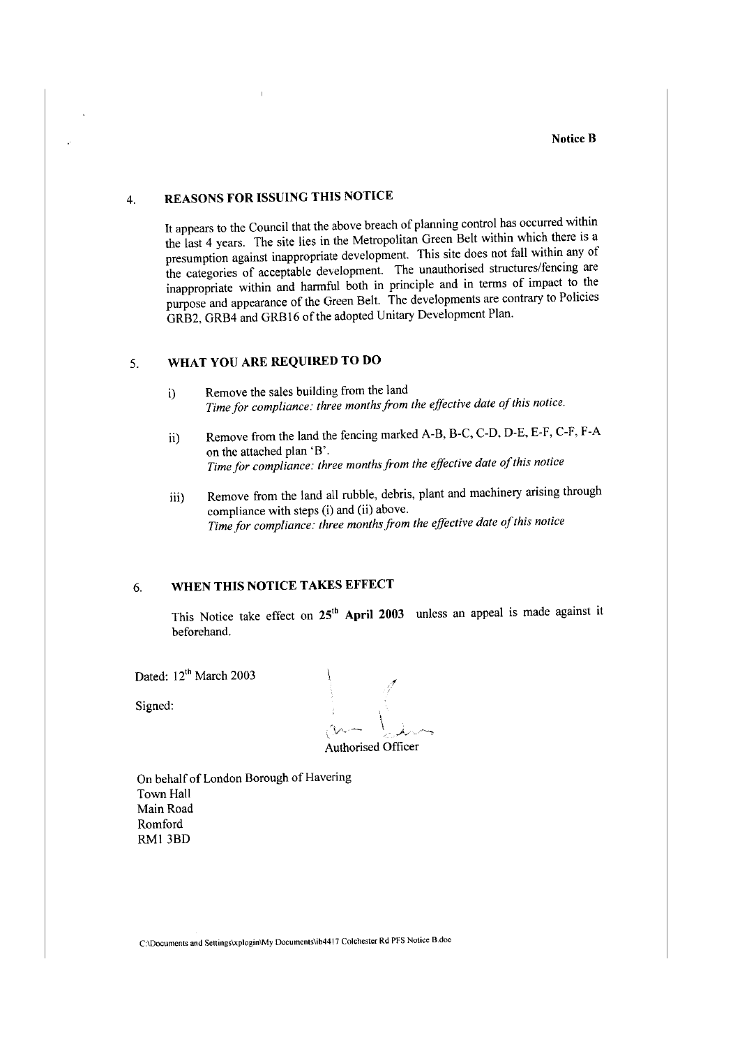# **4. REASONS FOR ISSUING THIS NOTICE**

It appears to the Council that the above breach of planning control has occurred within the last 4 years. The site lies in the Metropolitan Green Belt within which there is a presumption against inappropriate development. This site does not fall within any of the categories of acceptable development. The unauthorised structures/fencing are inappropriate within and harmful both in principle and in terms of impact to the purpose and appearance of the Green Belt. The developments are contrary to Policies GRB2, GRB4 and GRB16 of the adopted Unitary Development Plan.

# 5. **WHAT YOU ARE REQUIRED TO DO**

- i) Remove the sales building from the land Time for compliance: three months from the effective date of this notice.
- ii) Remove from the land the fencing marked A-B, B-C, C-D, D-E, E-F, C-F, F-A on the attached plan 'B'. *Time for compliance: three months from the effective date ofthis notice*
- iii) Remove from the land all rubble, debris, plant and machinery arising through compliance with steps (i) and (ii) above. Time for compliance: three months from the effective date of this notice

## 6. **WHEN THIS NOTICE TAKES EFFECT**

This Notice take effect on **25<sup>1</sup> <sup>h</sup>April 2003** unless an appeal is made against it beforehand.

Dated: 12<sup>th</sup> March 2003

Signed:

Authorised Officer

On behalf of London Borough of Havering Town Hall Main Road Romford RM! 3BD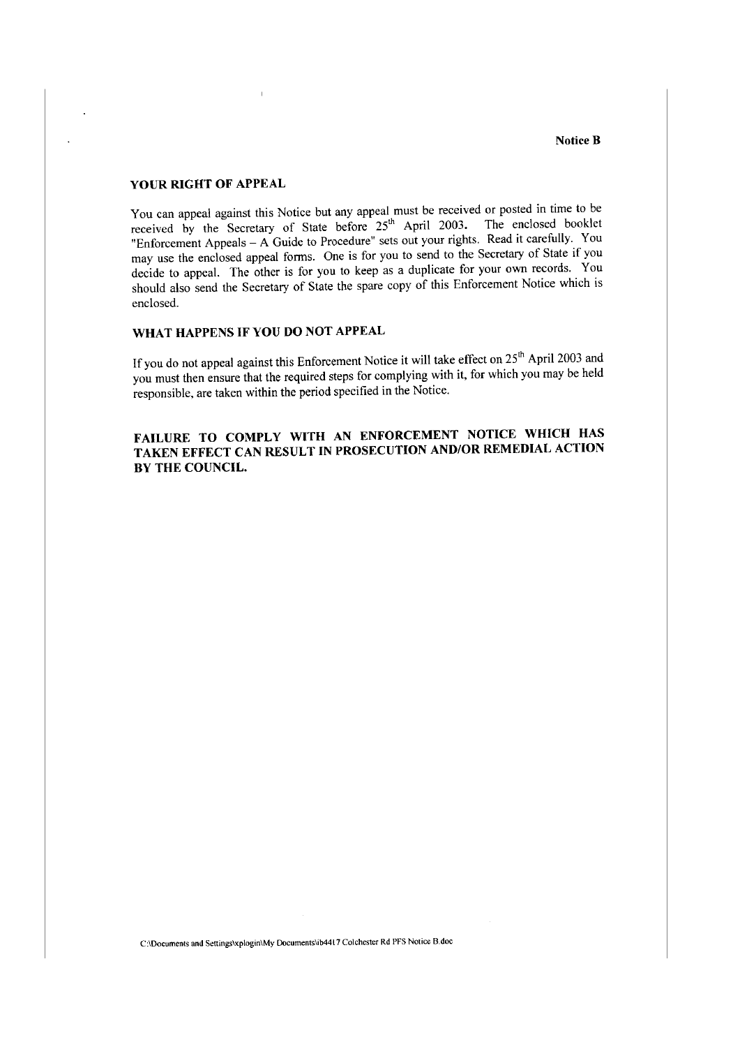### **YOUR RIGHT OF APPEAL**

You can appeal against this Notice but any appeal must be received or posted in time to be received by the Secretary of State before  $25<sup>th</sup>$  April 2003. The enclosed booklet "Enforcement Appeals – A Guide to Procedure" sets out your rights. Read it carefully. You may use the enclosed appeal forms. One is for you to send to the Secretary of State if you decide to appeal. The other is for you to keep as a duplicate for your own records. You should also send the Secretary of State the spare copy of this Enforcement Notice which is enclosed.

### **WHAT HAPPENS IF YOU DO NOT APPEAL**

If you do not appeal against this Enforcement Notice it will take effect on 25<sup>th</sup> April 2003 and you must then ensure that the required steps for complying with it, for which you may be held responsible, are taken within the period specified in the Notice.

**FAILURE TO COMPLY WITH AN ENFORCEMENT NOTICE WHICH HAS TAKEN EFFECT CAN RESULT IN PROSECUTION AND/OR REMEDIAL ACTION BY THE COUNCIL.**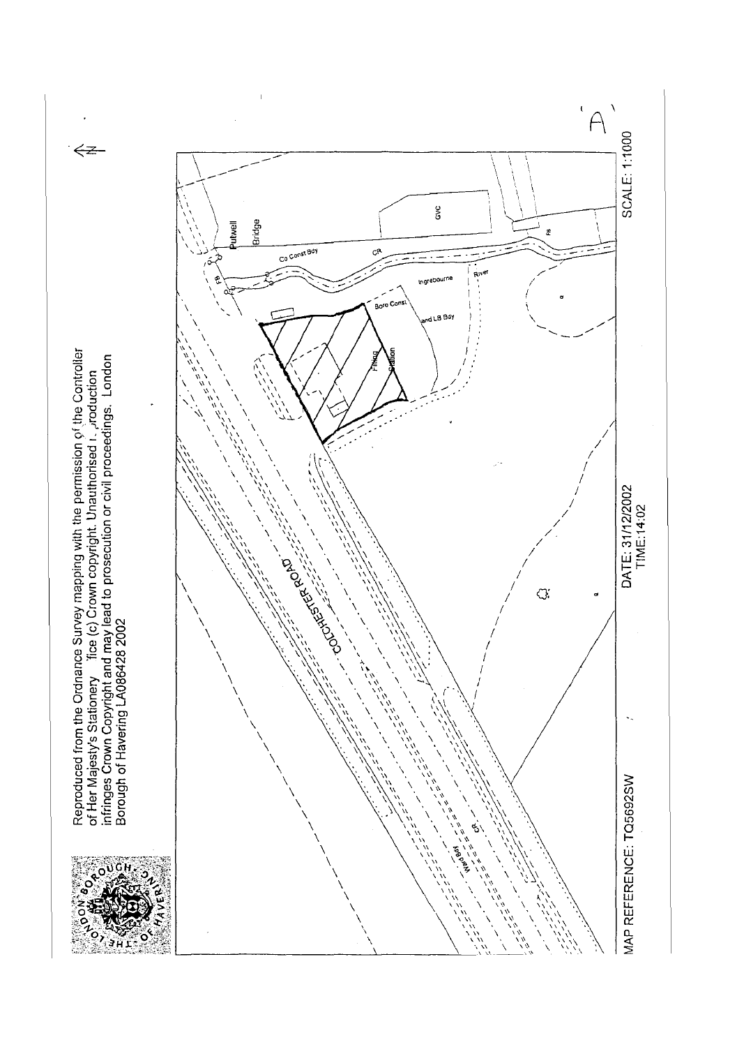